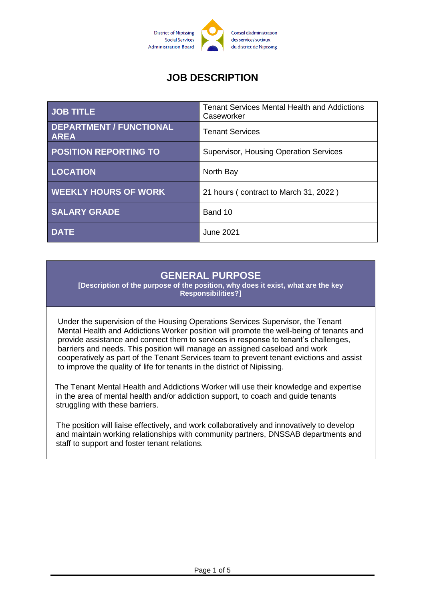

# **JOB DESCRIPTION**

| <b>JOB TITLE</b>                              | <b>Tenant Services Mental Health and Addictions</b><br>Caseworker |
|-----------------------------------------------|-------------------------------------------------------------------|
| <b>DEPARTMENT / FUNCTIONAL</b><br><b>AREA</b> | <b>Tenant Services</b>                                            |
| <b>POSITION REPORTING TO</b>                  | <b>Supervisor, Housing Operation Services</b>                     |
| <b>LOCATION</b>                               | North Bay                                                         |
| <b>WEEKLY HOURS OF WORK</b>                   | 21 hours (contract to March 31, 2022)                             |
| <b>SALARY GRADE</b>                           | Band 10                                                           |
| <b>DATE</b>                                   | June 2021                                                         |

# **GENERAL PURPOSE**

**[Description of the purpose of the position, why does it exist, what are the key Responsibilities?]**

Under the supervision of the Housing Operations Services Supervisor, the Tenant Mental Health and Addictions Worker position will promote the well-being of tenants and provide assistance and connect them to services in response to tenant's challenges, barriers and needs. This position will manage an assigned caseload and work cooperatively as part of the Tenant Services team to prevent tenant evictions and assist to improve the quality of life for tenants in the district of Nipissing.

The Tenant Mental Health and Addictions Worker will use their knowledge and expertise in the area of mental health and/or addiction support, to coach and guide tenants struggling with these barriers.

The position will liaise effectively, and work collaboratively and innovatively to develop and maintain working relationships with community partners, DNSSAB departments and staff to support and foster tenant relations.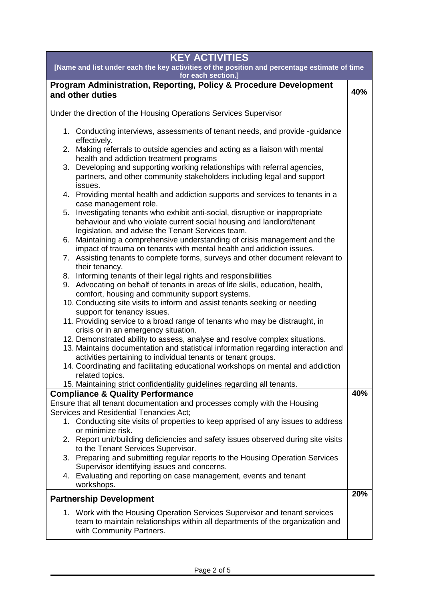| <b>KEY ACTIVITIES</b>                                                                                                                                                                                                             |     |  |
|-----------------------------------------------------------------------------------------------------------------------------------------------------------------------------------------------------------------------------------|-----|--|
| [Name and list under each the key activities of the position and percentage estimate of time<br>for each section.]                                                                                                                |     |  |
| Program Administration, Reporting, Policy & Procedure Development<br>and other duties                                                                                                                                             | 40% |  |
| Under the direction of the Housing Operations Services Supervisor                                                                                                                                                                 |     |  |
| 1. Conducting interviews, assessments of tenant needs, and provide -guidance<br>effectively.                                                                                                                                      |     |  |
| Making referrals to outside agencies and acting as a liaison with mental<br>2.<br>health and addiction treatment programs                                                                                                         |     |  |
| Developing and supporting working relationships with referral agencies,<br>3.<br>partners, and other community stakeholders including legal and support<br>issues.                                                                |     |  |
| 4. Providing mental health and addiction supports and services to tenants in a<br>case management role.                                                                                                                           |     |  |
| 5. Investigating tenants who exhibit anti-social, disruptive or inappropriate<br>behaviour and who violate current social housing and landlord/tenant<br>legislation, and advise the Tenant Services team.                        |     |  |
| 6. Maintaining a comprehensive understanding of crisis management and the<br>impact of trauma on tenants with mental health and addiction issues.                                                                                 |     |  |
| 7. Assisting tenants to complete forms, surveys and other document relevant to<br>their tenancy.                                                                                                                                  |     |  |
| 8. Informing tenants of their legal rights and responsibilities<br>9. Advocating on behalf of tenants in areas of life skills, education, health,                                                                                 |     |  |
| comfort, housing and community support systems.<br>10. Conducting site visits to inform and assist tenants seeking or needing<br>support for tenancy issues.                                                                      |     |  |
| 11. Providing service to a broad range of tenants who may be distraught, in<br>crisis or in an emergency situation.                                                                                                               |     |  |
| 12. Demonstrated ability to assess, analyse and resolve complex situations.<br>13. Maintains documentation and statistical information regarding interaction and<br>activities pertaining to individual tenants or tenant groups. |     |  |
| 14. Coordinating and facilitating educational workshops on mental and addiction<br>related topics.                                                                                                                                |     |  |
| 15. Maintaining strict confidentiality guidelines regarding all tenants.                                                                                                                                                          |     |  |
| <b>Compliance &amp; Quality Performance</b>                                                                                                                                                                                       | 40% |  |
| Ensure that all tenant documentation and processes comply with the Housing<br>Services and Residential Tenancies Act;                                                                                                             |     |  |
| 1. Conducting site visits of properties to keep apprised of any issues to address<br>or minimize risk.                                                                                                                            |     |  |
| 2. Report unit/building deficiencies and safety issues observed during site visits<br>to the Tenant Services Supervisor.                                                                                                          |     |  |
| 3. Preparing and submitting regular reports to the Housing Operation Services<br>Supervisor identifying issues and concerns.                                                                                                      |     |  |
| 4. Evaluating and reporting on case management, events and tenant<br>workshops.                                                                                                                                                   |     |  |
| <b>Partnership Development</b>                                                                                                                                                                                                    | 20% |  |
| 1. Work with the Housing Operation Services Supervisor and tenant services<br>team to maintain relationships within all departments of the organization and<br>with Community Partners.                                           |     |  |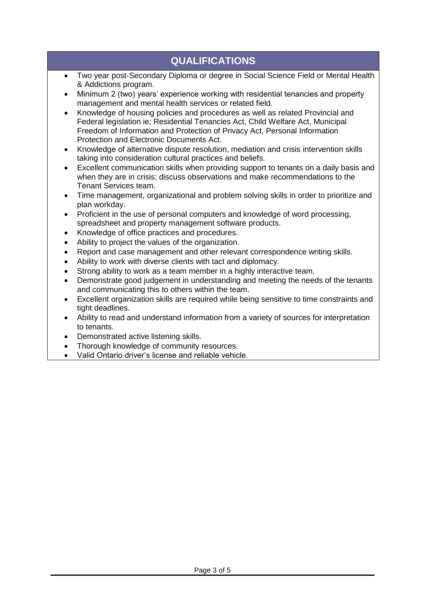## **QUALIFICATIONS**

- Two year post-Secondary Diploma or degree in Social Science Field or Mental Health & Addictions program.
- Minimum 2 (two) years' experience working with residential tenancies and property management and mental health services or related field.
- Knowledge of housing policies and procedures as well as related Provincial and Federal legislation ie; Residential Tenancies Act, Child Welfare Act, Municipal Freedom of Information and Protection of Privacy Act, Personal Information Protection and Electronic Documents Act.
- Knowledge of alternative dispute resolution, mediation and crisis intervention skills taking into consideration cultural practices and beliefs.
- Excellent communication skills when providing support to tenants on a daily basis and when they are in crisis; discuss observations and make recommendations to the Tenant Services team.
- Time management, organizational and problem solving skills in order to prioritize and plan workday.
- Proficient in the use of personal computers and knowledge of word processing, spreadsheet and property management software products.
- Knowledge of office practices and procedures.
- Ability to project the values of the organization.
- Report and case management and other relevant correspondence writing skills.
- Ability to work with diverse clients with tact and diplomacy.
- Strong ability to work as a team member in a highly interactive team.
- Demonstrate good judgement in understanding and meeting the needs of the tenants and communicating this to others within the team.
- Excellent organization skills are required while being sensitive to time constraints and tight deadlines.
- Ability to read and understand information from a variety of sources for interpretation to tenants.
- Demonstrated active listening skills.
- Thorough knowledge of community resources.
- Valid Ontario driver's license and reliable vehicle.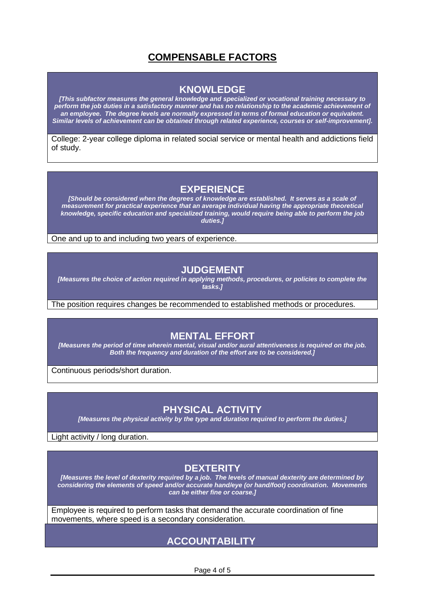### **COMPENSABLE FACTORS**

#### **KNOWLEDGE**

*[This subfactor measures the general knowledge and specialized or vocational training necessary to perform the job duties in a satisfactory manner and has no relationship to the academic achievement of an employee. The degree levels are normally expressed in terms of formal education or equivalent. Similar levels of achievement can be obtained through related experience, courses or self-improvement].*

College: 2-year college diploma in related social service or mental health and addictions field of study.

#### **EXPERIENCE**

*[Should be considered when the degrees of knowledge are established. It serves as a scale of measurement for practical experience that an average individual having the appropriate theoretical knowledge, specific education and specialized training, would require being able to perform the job duties.]*

One and up to and including two years of experience.

#### **JUDGEMENT**

*[Measures the choice of action required in applying methods, procedures, or policies to complete the tasks.]*

The position requires changes be recommended to established methods or procedures.

#### **MENTAL EFFORT**

*[Measures the period of time wherein mental, visual and/or aural attentiveness is required on the job. Both the frequency and duration of the effort are to be considered.]*

Continuous periods/short duration.

### **PHYSICAL ACTIVITY**

*[Measures the physical activity by the type and duration required to perform the duties.]*

Light activity / long duration.

### **DEXTERITY**

*[Measures the level of dexterity required by a job. The levels of manual dexterity are determined by considering the elements of speed and/or accurate hand/eye (or hand/foot) coordination. Movements can be either fine or coarse.]*

Employee is required to perform tasks that demand the accurate coordination of fine movements, where speed is a secondary consideration.

### **ACCOUNTABILITY**

Page 4 of 5